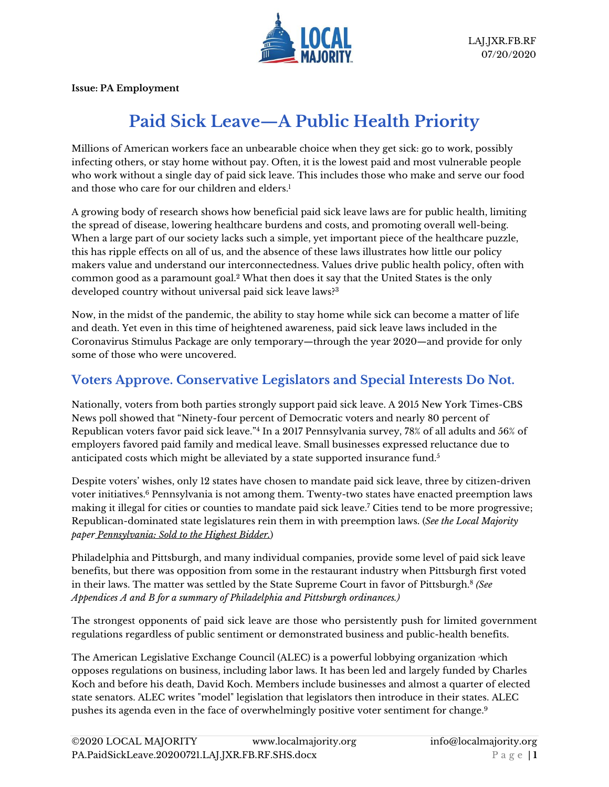

**Issue: PA Employment**

# **Paid Sick Leave—A Public Health Priority**

Millions of American workers face an unbearable choice when they get sick: go to work, possibly infecting others, or stay home without pay. Often, it is the lowest paid and most vulnerable people who work without a single day of paid sick leave. This includes those who make and serve our food and those who care for our children and elders<sup>1</sup>

A growing body of research shows how beneficial paid sick leave laws are for public health, limiting the spread of disease, lowering healthcare burdens and costs, and promoting overall well-being. When a large part of our society lacks such a simple, yet important piece of the healthcare puzzle, this has ripple effects on all of us, and the absence of these laws illustrates how little our policy makers value and understand our interconnectedness. Values drive public health policy, often with common good as a paramount goal.<sup>2</sup> What then does it say that the United States is the only developed country without universal paid sick leave laws?<sup>3</sup>

Now, in the midst of the pandemic, the ability to stay home while sick can become a matter of life and death. Yet even in this time of heightened awareness, paid sick leave laws included in the Coronavirus Stimulus Package are only temporary—through the year 2020—and provide for only some of those who were uncovered.

#### **Voters Approve. Conservative Legislators and Special Interests Do Not.**

Nationally, voters from both parties strongly support paid sick leave. A 2015 New York Times-CBS News poll showed that "Ninety-four percent of Democratic voters and nearly 80 percent of Republican voters favor paid sick leave."<sup>4</sup> In a 2017 Pennsylvania survey, 78% of all adults and 56% of employers favored paid family and medical leave. Small businesses expressed reluctance due to anticipated costs which might be alleviated by a state supported insurance fund.<sup>5</sup>

Despite voters' wishes, only 12 states have chosen to mandate paid sick leave, three by citizen-driven voter initiatives. <sup>6</sup> Pennsylvania is not among them. Twenty-two states have enacted preemption laws making it illegal for cities or counties to mandate paid sick leave.<sup>7</sup> Cities tend to be more progressive; Republican-dominated state legislatures rein them in with preemption laws. (*See the Local Majority paper [Pennsylvania:](https://www.localmajority.org/wp-content/uploads/2020/06/PA.ALEC_privatization.20200624.JXR_.pdf) Sold to the Highest Bidder.*)

Philadelphia and Pittsburgh, and many individual companies, provide some level of paid sick leave benefits, but there was opposition from some in the restaurant industry when Pittsburgh first voted in their laws. The matter was settled by the State Supreme Court in favor of Pittsburgh.<sup>8</sup> *(See Appendices A and B for a summary of Philadelphia and Pittsburgh ordinances.)*

The strongest opponents of paid sick leave are those who persistently push for limited government regulations regardless of public sentiment or demonstrated business and public-health benefits.

The American Legislative Exchange Council (ALEC) is a powerful lobbying organization ,which opposes regulations on business, including labor laws. It has been led and largely funded by Charles Koch and before his death, David Koch. Members include businesses and almost a quarter of elected state senators. ALEC writes "model" legislation that legislators then introduce in their states. ALEC pushes its agenda even in the face of overwhelmingly positive voter sentiment for change. 9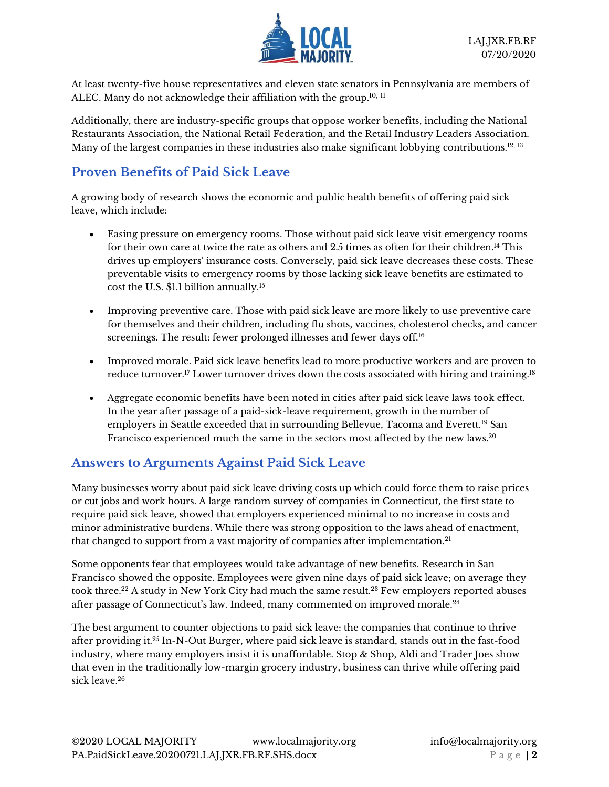

At least twenty-five house representatives and eleven state senators in Pennsylvania are members of ALEC. Many do not acknowledge their affiliation with the group.<sup>10, 11</sup>

Additionally, there are industry-specific groups that oppose worker benefits, including the National Restaurants Association, the National Retail Federation, and the Retail Industry Leaders Association. Many of the largest companies in these industries also make significant lobbying contributions.<sup>12, 13</sup>

# **Proven Benefits of Paid Sick Leave**

A growing body of research shows the economic and public health benefits of offering paid sick leave, which include:

- Easing pressure on emergency rooms. Those without paid sick leave visit emergency rooms for their own care at twice the rate as others and 2.5 times as often for their children.<sup>14</sup> This drives up employers' insurance costs. Conversely, paid sick leave decreases these costs. These preventable visits to emergency rooms by those lacking sick leave benefits are estimated to cost the U.S. \$1.1 billion annually.<sup>15</sup>
- Improving preventive care. Those with paid sick leave are more likely to use preventive care for themselves and their children, including flu shots, vaccines, cholesterol checks, and cancer screenings. The result: fewer prolonged illnesses and fewer days off.<sup>16</sup>
- Improved morale. Paid sick leave benefits lead to more productive workers and are proven to reduce turnover.<sup>17</sup> Lower turnover drives down the costs associated with hiring and training.<sup>18</sup>
- Aggregate economic benefits have been noted in cities after paid sick leave laws took effect. In the year after passage of a paid-sick-leave requirement, growth in the number of employers in Seattle exceeded that in surrounding Bellevue, Tacoma and Everett.<sup>19</sup> San Francisco experienced much the same in the sectors most affected by the new laws.<sup>20</sup>

## **Answers to Arguments Against Paid Sick Leave**

Many businesses worry about paid sick leave driving costs up which could force them to raise prices or cut jobs and work hours. A large random survey of companies in Connecticut, the first state to require paid sick leave, showed that employers experienced minimal to no increase in costs and minor administrative burdens. While there was strong opposition to the laws ahead of enactment, that changed to support from a vast majority of companies after implementation.<sup>21</sup>

Some opponents fear that employees would take advantage of new benefits. Research in San Francisco showed the opposite. Employees were given nine days of paid sick leave; on average they took three.<sup>22</sup> A study in New York City had much the same result.<sup>23</sup> Few employers reported abuses after passage of Connecticut's law. Indeed, many commented on improved morale.<sup>24</sup>

The best argument to counter objections to paid sick leave: the companies that continue to thrive after providing it.<sup>25</sup> In-N-Out Burger, where paid sick leave is standard, stands out in the fast-food industry, where many employers insist it is unaffordable. Stop & Shop, Aldi and Trader Joes show that even in the traditionally low-margin grocery industry, business can thrive while offering paid sick leave.<sup>26</sup>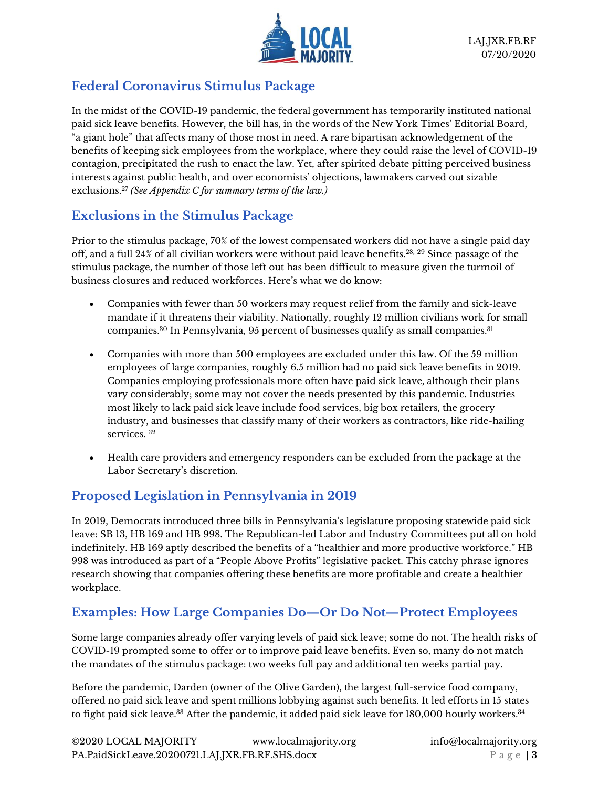

## **Federal Coronavirus Stimulus Package**

In the midst of the COVID-19 pandemic, the federal government has temporarily instituted national paid sick leave benefits. However, the bill has, in the words of the New York Times' Editorial Board, "a giant hole" that affects many of those most in need. A rare bipartisan acknowledgement of the benefits of keeping sick employees from the workplace, where they could raise the level of COVID-19 contagion, precipitated the rush to enact the law. Yet, after spirited debate pitting perceived business interests against public health, and over economists' objections, lawmakers carved out sizable exclusions. <sup>27</sup> *(See Appendix C for summary terms of the law.)*

# **Exclusions in the Stimulus Package**

Prior to the stimulus package, 70% of the lowest compensated workers did not have a single paid day off, and a full 24% of all civilian workers were without paid leave benefits.28, <sup>29</sup> Since passage of the stimulus package, the number of those left out has been difficult to measure given the turmoil of business closures and reduced workforces. Here's what we do know:

- Companies with fewer than 50 workers may request relief from the family and sick-leave mandate if it threatens their viability. Nationally, roughly 12 million civilians work for small companies.<sup>30</sup> In Pennsylvania, 95 percent of businesses qualify as small companies.<sup>31</sup>
- Companies with more than 500 employees are excluded under this law. Of the 59 million employees of large companies, roughly 6.5 million had no paid sick leave benefits in 2019. Companies employing professionals more often have paid sick leave, although their plans vary considerably; some may not cover the needs presented by this pandemic. Industries most likely to lack paid sick leave include food services, big box retailers, the grocery industry, and businesses that classify many of their workers as contractors, like ride-hailing services. <sup>32</sup>
- Health care providers and emergency responders can be excluded from the package at the Labor Secretary's discretion.

## **Proposed Legislation in Pennsylvania in 2019**

In 2019, Democrats introduced three bills in Pennsylvania's legislature proposing statewide paid sick leave: SB 13, HB 169 and HB 998. The Republican-led Labor and Industry Committees put all on hold indefinitely. HB 169 aptly described the benefits of a "healthier and more productive workforce." HB 998 was introduced as part of a "People Above Profits" legislative packet. This catchy phrase ignores research showing that companies offering these benefits are more profitable and create a healthier workplace.

## **Examples: How Large Companies Do—Or Do Not—Protect Employees**

Some large companies already offer varying levels of paid sick leave; some do not. The health risks of COVID-19 prompted some to offer or to improve paid leave benefits. Even so, many do not match the mandates of the stimulus package: two weeks full pay and additional ten weeks partial pay.

Before the pandemic, Darden (owner of the Olive Garden), the largest full-service food company, offered no paid sick leave and spent millions lobbying against such benefits. It led efforts in 15 states to fight paid sick leave. $^\mathrm{33}$  After the pandemic, it added paid sick leave for 180,000 hourly workers. $^\mathrm{34}$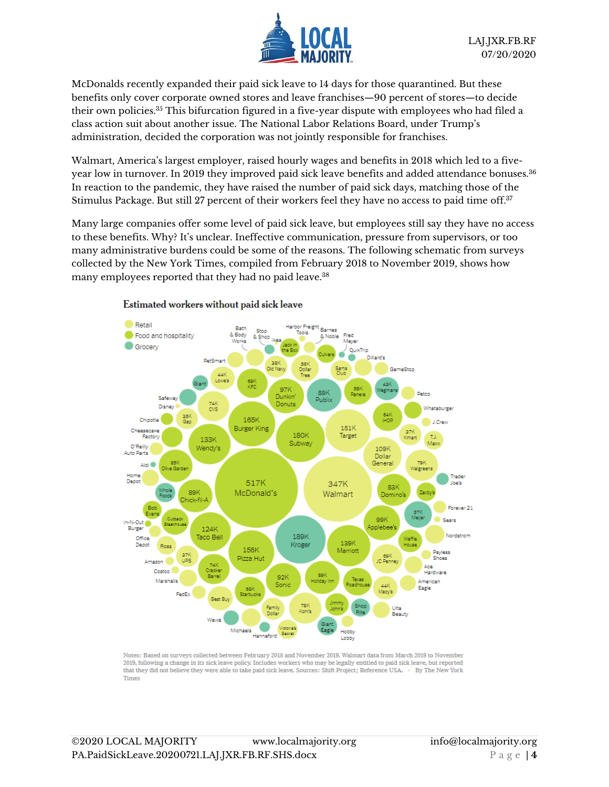

McDonalds recently expanded their paid sick leave to 14 days for those quarantined. But these benefits only cover corporate owned stores and leave franchises—90 percent of stores—to decide their own policies. <sup>35</sup> This bifurcation figured in a five-year dispute with employees who had filed a class action suit about another issue. The National Labor Relations Board, under Trump's administration, decided the corporation was not jointly responsible for franchises.

Walmart, America's largest employer, raised hourly wages and benefits in 2018 which led to a fiveyear low in turnover. In 2019 they improved paid sick leave benefits and added attendance bonuses.<sup>36</sup> In reaction to the pandemic, they have raised the number of paid sick days, matching those of the Stimulus Package. But still 27 percent of their workers feel they have no access to paid time off.<sup>37</sup>

Many large companies offer some level of paid sick leave, but employees still say they have no access to these benefits. Why? It's unclear. Ineffective communication, pressure from supervisors, or too many administrative burdens could be some of the reasons. The following schematic from surveys collected by the New York Times, compiled from February 2018 to November 2019, shows how many employees reported that they had no paid leave.<sup>38</sup>



#### Estimated workers without paid sick leave

Notes: Based on surveys collected between February 2018 and November 2019. Walmart data from March 2019 to November 2019, following a change in its sick leave policy. Includes workers who may be legally entitled to paid sick leave, but reported that they did not believe they were able to take paid sick leave. Sources: Shift Project: Reference USA. • By The New York **Times**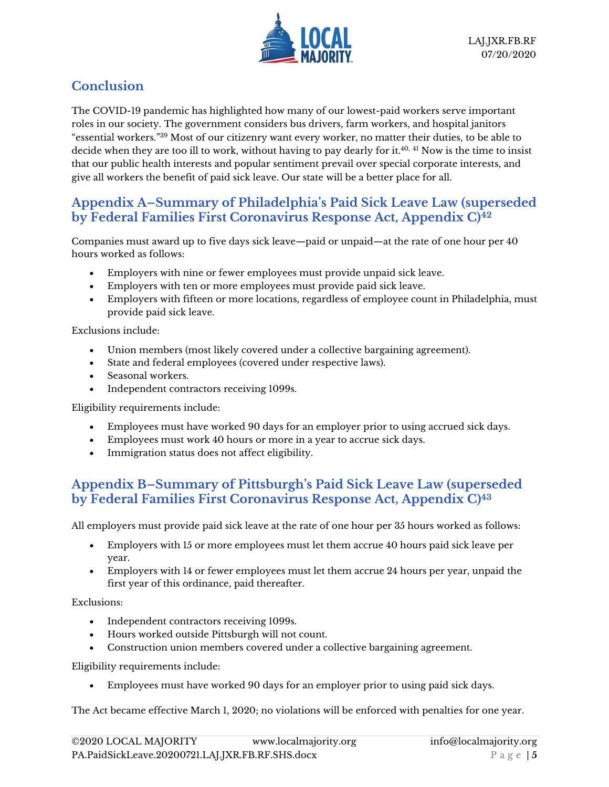

## **Conclusion**

The COVID-19 pandemic has highlighted how many of our lowest-paid workers serve important roles in our society. The government considers bus drivers, farm workers, and hospital janitors "essential workers." <sup>39</sup> Most of our citizenry want every worker, no matter their duties, to be able to decide when they are too ill to work, without having to pay dearly for it. 40, <sup>41</sup> Now is the time to insist that our public health interests and popular sentiment prevail over special corporate interests, and give all workers the benefit of paid sick leave. Our state will be a better place for all.

#### **Appendix A–Summary of Philadelphia's Paid Sick Leave Law (superseded by Federal Families First Coronavirus Response Act, Appendix C)<sup>42</sup>**

Companies must award up to five days sick leave—paid or unpaid—at the rate of one hour per 40 hours worked as follows:

- Employers with nine or fewer employees must provide unpaid sick leave.
- Employers with ten or more employees must provide paid sick leave.
- Employers with fifteen or more locations, regardless of employee count in Philadelphia, must provide paid sick leave.

Exclusions include:

- Union members (most likely covered under a collective bargaining agreement).
- State and federal employees (covered under respective laws).
- Seasonal workers.
- Independent contractors receiving 1099s.

Eligibility requirements include:

- Employees must have worked 90 days for an employer prior to using accrued sick days.
- Employees must work 40 hours or more in a year to accrue sick days.
- Immigration status does not affect eligibility.

#### **Appendix B–Summary of Pittsburgh's Paid Sick Leave Law (superseded by Federal Families First Coronavirus Response Act, Appendix C) 43**

All employers must provide paid sick leave at the rate of one hour per 35 hours worked as follows:

- Employers with 15 or more employees must let them accrue 40 hours paid sick leave per year.
- Employers with 14 or fewer employees must let them accrue 24 hours per year, unpaid the first year of this ordinance, paid thereafter.

Exclusions:

- Independent contractors receiving 1099s.
- Hours worked outside Pittsburgh will not count.
- Construction union members covered under a collective bargaining agreement.

Eligibility requirements include:

• Employees must have worked 90 days for an employer prior to using paid sick days.

The Act became effective March 1, 2020; no violations will be enforced with penalties for one year.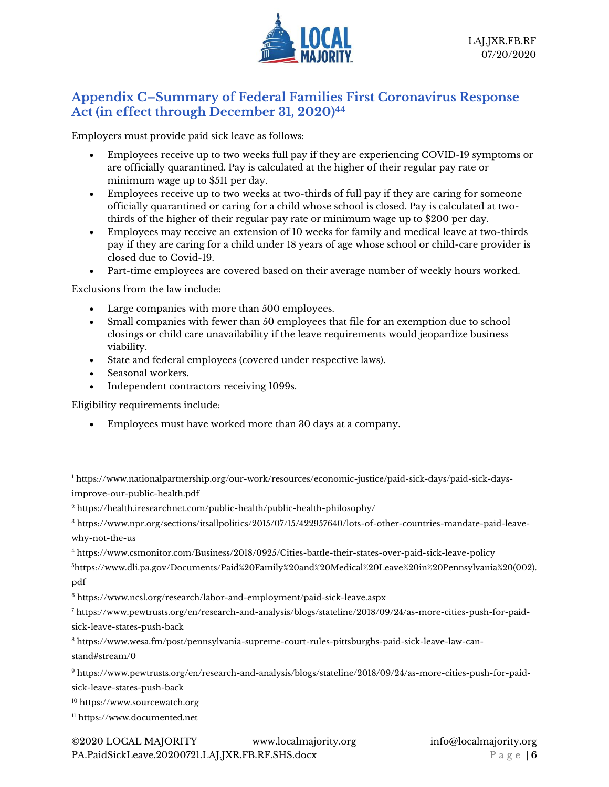

#### **Appendix C–Summary of Federal Families First Coronavirus Response Act (in effect through December 31, 2020) 44**

Employers must provide paid sick leave as follows:

- Employees receive up to two weeks full pay if they are experiencing COVID-19 symptoms or are officially quarantined. Pay is calculated at the higher of their regular pay rate or minimum wage up to \$511 per day.
- Employees receive up to two weeks at two-thirds of full pay if they are caring for someone officially quarantined or caring for a child whose school is closed. Pay is calculated at twothirds of the higher of their regular pay rate or minimum wage up to \$200 per day.
- Employees may receive an extension of 10 weeks for family and medical leave at two-thirds pay if they are caring for a child under 18 years of age whose school or child-care provider is closed due to Covid-19.
- Part-time employees are covered based on their average number of weekly hours worked.

Exclusions from the law include:

- Large companies with more than 500 employees.
- Small companies with fewer than 50 employees that file for an exemption due to school closings or child care unavailability if the leave requirements would jeopardize business viability.
- State and federal employees (covered under respective laws).
- Seasonal workers.
- Independent contractors receiving 1099s.

Eligibility requirements include:

• Employees must have worked more than 30 days at a company.

<sup>4</sup> [https://www.csmonitor.com/Business/2018/0925/Cities-battle-their-states-over-paid-sick-leave-policy](about:blank)

[sick-leave-states-push-back](about:blank)

<sup>11</sup> [https://www.documented.net](about:blank)

<sup>1</sup> [https://www.nationalpartnership.org/our-work/resources/economic-justice/paid-sick-days/paid-sick-days](about:blank)[improve-our-public-health.pdf](about:blank)

<sup>2</sup> [https://health.iresearchnet.com/public-health/public-health-philosophy/](about:blank)

<sup>3</sup> [https://www.npr.org/sections/itsallpolitics/2015/07/15/422957640/lots-of-other-countries-mandate-paid-leave](about:blank)[why-not-the-us](about:blank)

<sup>5</sup>[https://www.dli.pa.gov/Documents/Paid%20Family%20and%20Medical%20Leave%20in%20Pennsylvania%20\(002\).](about:blank) [pdf](about:blank)

<sup>6</sup> [https://www.ncsl.org/research/labor-and-employment/paid-sick-leave.aspx](about:blank)

<sup>7</sup> [https://www.pewtrusts.org/en/research-and-analysis/blogs/stateline/2018/09/24/as-more-cities-push-for-paid](about:blank)[sick-leave-states-push-back](about:blank)

<sup>8</sup> [https://www.wesa.fm/post/pennsylvania-supreme-court-rules-pittsburghs-paid-sick-leave-law-can](about:blank#stream/0)[stand#stream/0](about:blank#stream/0)

<sup>9</sup> [https://www.pewtrusts.org/en/research-and-analysis/blogs/stateline/2018/09/24/as-more-cities-push-for-paid-](about:blank)

<sup>10</sup> https:/[/www.sourcewatch.org](about:blank)